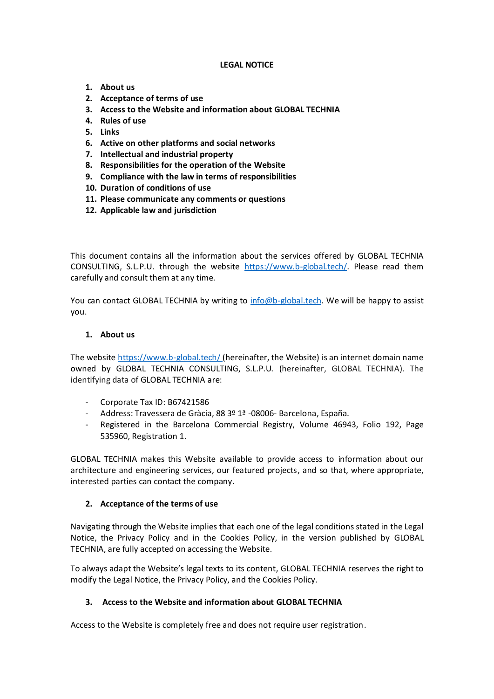### **LEGAL NOTICE**

- **1. About us**
- **2. Acceptance of terms of use**
- **3. Access to the Website and information about GLOBAL TECHNIA**
- **4. Rules of use**
- **5. Links**
- **6. Active on other platforms and social networks**
- **7. Intellectual and industrial property**
- **8. Responsibilities for the operation of the Website**
- **9. Compliance with the law in terms of responsibilities**
- **10. Duration of conditions of use**
- **11. Please communicate any comments or questions**
- **12. Applicable law and jurisdiction**

This document contains all the information about the services offered by GLOBAL TECHNIA CONSULTING, S.L.P.U. through the website [https://www.b-global.tech/.](https://www.b-global.tech/) Please read them carefully and consult them at any time.

You can contact GLOBAL TECHNIA by writing to [info@b-global.tech.](mailto:info@b-global.tech) We will be happy to assist you.

#### **1. About us**

The websit[e https://www.b-global.tech/](https://www.b-global.tech/) (hereinafter, the Website) is an internet domain name owned by GLOBAL TECHNIA CONSULTING, S.L.P.U. (hereinafter, GLOBAL TECHNIA). The identifying data of GLOBAL TECHNIA are:

- Corporate Tax ID: B67421586
- Address: Travessera de Gràcia, 88 3º 1ª -08006- Barcelona, España.
- Registered in the Barcelona Commercial Registry, Volume 46943, Folio 192, Page 535960, Registration 1.

GLOBAL TECHNIA makes this Website available to provide access to information about our architecture and engineering services, our featured projects, and so that, where appropriate, interested parties can contact the company.

#### **2. Acceptance of the terms of use**

Navigating through the Website implies that each one of the legal conditions stated in the Legal Notice, the Privacy Policy and in the Cookies Policy, in the version published by GLOBAL TECHNIA, are fully accepted on accessing the Website.

To always adapt the Website's legal texts to its content, GLOBAL TECHNIA reserves the right to modify the Legal Notice, the Privacy Policy, and the Cookies Policy.

## **3. Access to the Website and information about GLOBAL TECHNIA**

Access to the Website is completely free and does not require user registration.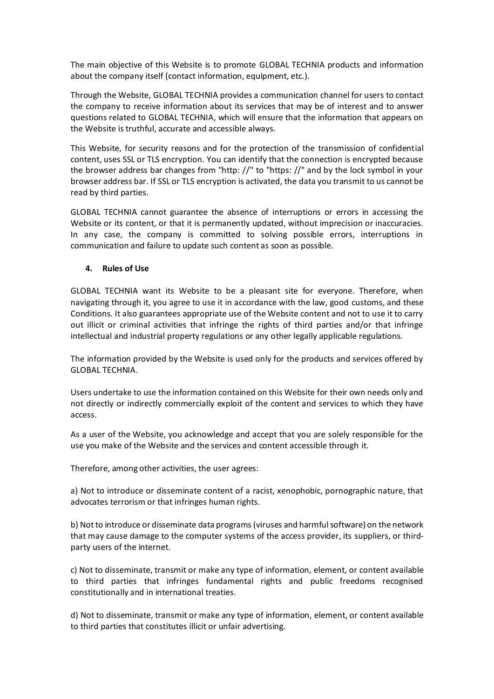The main objective of this Website is to promote GLOBAL TECHNIA products and information about the company itself (contact information, equipment, etc.).

Through the Website, GLOBAL TECHNIA provides a communication channel for users to contact the company to receive information about its services that may be of interest and to answer questions related to GLOBAL TECHNIA, which will ensure that the information that appears on the Website is truthful, accurate and accessible always.

This Website, for security reasons and for the protection of the transmission of confidential content, uses SSL or TLS encryption. You can identify that the connection is encrypted because the browser address bar changes from "http: //" to "https: //" and by the lock symbol in your browser address bar. If SSL or TLS encryption is activated, the data you transmit to us cannot be read by third parties.

GLOBAL TECHNIA cannot guarantee the absence of interruptions or errors in accessing the Website or its content, or that it is permanently updated, without imprecision or inaccuracies. In any case, the company is committed to solving possible errors, interruptions in communication and failure to update such content as soon as possible.

### **4. Rules of Use**

GLOBAL TECHNIA want its Website to be a pleasant site for everyone. Therefore, when navigating through it, you agree to use it in accordance with the law, good customs, and these Conditions. It also guarantees appropriate use of the Website content and not to use it to carry out illicit or criminal activities that infringe the rights of third parties and/or that infringe intellectual and industrial property regulations or any other legally applicable regulations.

The information provided by the Website is used only for the products and services offered by GLOBAL TECHNIA.

Users undertake to use the information contained on this Website for their own needs only and not directly or indirectly commercially exploit of the content and services to which they have access.

As a user of the Website, you acknowledge and accept that you are solely responsible for the use you make of the Website and the services and content accessible through it.

Therefore, among other activities, the user agrees:

a) Not to introduce or disseminate content of a racist, xenophobic, pornographic nature, that advocates terrorism or that infringes human rights.

b) Not to introduce or disseminate data programs (viruses and harmful software) on the network that may cause damage to the computer systems of the access provider, its suppliers, or thirdparty users of the internet.

c) Not to disseminate, transmit or make any type of information, element, or content available to third parties that infringes fundamental rights and public freedoms recognised constitutionally and in international treaties.

d) Not to disseminate, transmit or make any type of information, element, or content available to third parties that constitutes illicit or unfair advertising.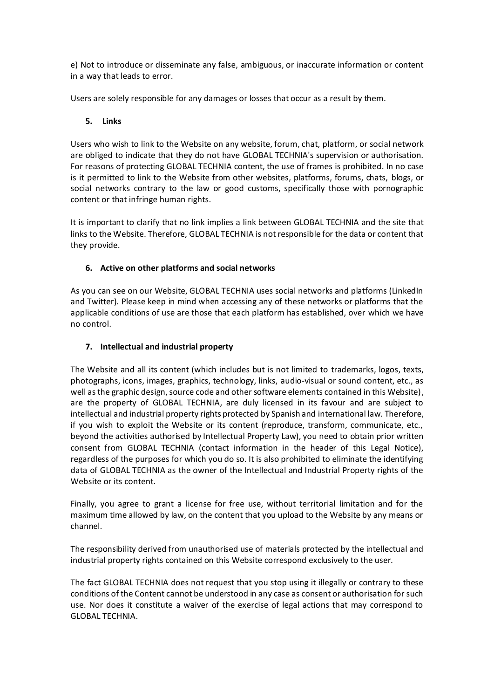e) Not to introduce or disseminate any false, ambiguous, or inaccurate information or content in a way that leads to error.

Users are solely responsible for any damages or losses that occur as a result by them.

### **5. Links**

Users who wish to link to the Website on any website, forum, chat, platform, or social network are obliged to indicate that they do not have GLOBAL TECHNIA's supervision or authorisation. For reasons of protecting GLOBAL TECHNIA content, the use of frames is prohibited. In no case is it permitted to link to the Website from other websites, platforms, forums, chats, blogs, or social networks contrary to the law or good customs, specifically those with pornographic content or that infringe human rights.

It is important to clarify that no link implies a link between GLOBAL TECHNIA and the site that links to the Website. Therefore, GLOBAL TECHNIA is not responsible for the data or content that they provide.

## **6. Active on other platforms and social networks**

As you can see on our Website, GLOBAL TECHNIA uses social networks and platforms (LinkedIn and Twitter). Please keep in mind when accessing any of these networks or platforms that the applicable conditions of use are those that each platform has established, over which we have no control.

### **7. Intellectual and industrial property**

The Website and all its content (which includes but is not limited to trademarks, logos, texts, photographs, icons, images, graphics, technology, links, audio-visual or sound content, etc., as well as the graphic design, source code and other software elements contained in this Website), are the property of GLOBAL TECHNIA, are duly licensed in its favour and are subject to intellectual and industrial property rights protected by Spanish and international law. Therefore, if you wish to exploit the Website or its content (reproduce, transform, communicate, etc., beyond the activities authorised by Intellectual Property Law), you need to obtain prior written consent from GLOBAL TECHNIA (contact information in the header of this Legal Notice), regardless of the purposes for which you do so. It is also prohibited to eliminate the identifying data of GLOBAL TECHNIA as the owner of the Intellectual and Industrial Property rights of the Website or its content.

Finally, you agree to grant a license for free use, without territorial limitation and for the maximum time allowed by law, on the content that you upload to the Website by any means or channel.

The responsibility derived from unauthorised use of materials protected by the intellectual and industrial property rights contained on this Website correspond exclusively to the user.

The fact GLOBAL TECHNIA does not request that you stop using it illegally or contrary to these conditions of the Content cannot be understood in any case as consent or authorisation for such use. Nor does it constitute a waiver of the exercise of legal actions that may correspond to GLOBAL TECHNIA.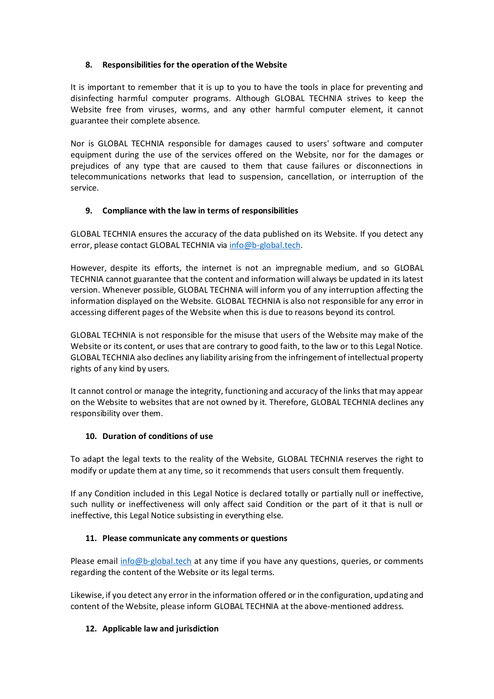## **8. Responsibilities for the operation of the Website**

It is important to remember that it is up to you to have the tools in place for preventing and disinfecting harmful computer programs. Although GLOBAL TECHNIA strives to keep the Website free from viruses, worms, and any other harmful computer element, it cannot guarantee their complete absence.

Nor is GLOBAL TECHNIA responsible for damages caused to users' software and computer equipment during the use of the services offered on the Website, nor for the damages or prejudices of any type that are caused to them that cause failures or disconnections in telecommunications networks that lead to suspension, cancellation, or interruption of the service.

# **9. Compliance with the law in terms of responsibilities**

GLOBAL TECHNIA ensures the accuracy of the data published on its Website. If you detect any error, please contact GLOBAL TECHNIA via [info@b-global.tech.](mailto:info@b-global.tech)

However, despite its efforts, the internet is not an impregnable medium, and so GLOBAL TECHNIA cannot guarantee that the content and information will always be updated in its latest version. Whenever possible, GLOBAL TECHNIA will inform you of any interruption affecting the information displayed on the Website. GLOBAL TECHNIA is also not responsible for any error in accessing different pages of the Website when this is due to reasons beyond its control.

GLOBAL TECHNIA is not responsible for the misuse that users of the Website may make of the Website or its content, or uses that are contrary to good faith, to the law or to this Legal Notice. GLOBAL TECHNIA also declines any liability arising from the infringement of intellectual property rights of any kind by users.

It cannot control or manage the integrity, functioning and accuracy of the links that may appear on the Website to websites that are not owned by it. Therefore, GLOBAL TECHNIA declines any responsibility over them.

## **10. Duration of conditions of use**

To adapt the legal texts to the reality of the Website, GLOBAL TECHNIA reserves the right to modify or update them at any time, so it recommends that users consult them frequently.

If any Condition included in this Legal Notice is declared totally or partially null or ineffective, such nullity or ineffectiveness will only affect said Condition or the part of it that is null or ineffective, this Legal Notice subsisting in everything else.

## **11. Please communicate any comments or questions**

Please email [info@b-global.tech](mailto:info@b-global.tech) at any time if you have any questions, queries, or comments regarding the content of the Website or its legal terms.

Likewise, if you detect any error in the information offered or in the configuration, updating and content of the Website, please inform GLOBAL TECHNIA at the above-mentioned address.

## **12. Applicable law and jurisdiction**